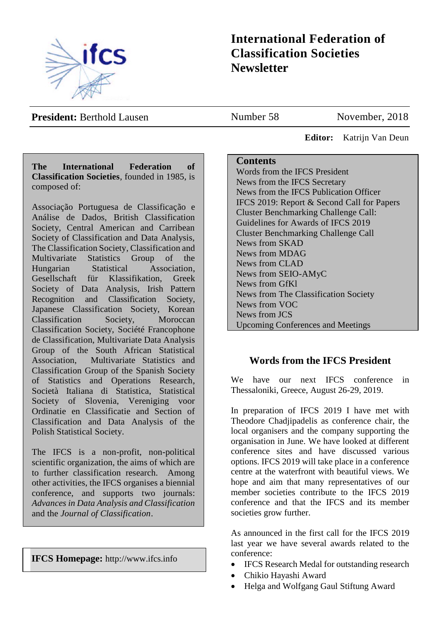

# **International Federation of Classification Societies Newsletter**

**President:** Berthold Lausen

Number 58 November, 2018

 **Editor:** Katrijn Van Deun

## **The International Federation of Classification Societies**, founded in 1985, is composed of:

Associação Portuguesa de Classificação e Análise de Dados, British Classification Society, Central American and Carribean Society of Classification and Data Analysis, The Classification Society, Classification and Multivariate Statistics Group of the Hungarian Statistical Association, Gesellschaft für Klassifikation, Greek Society of Data Analysis, Irish Pattern Recognition and Classification Society, Japanese Classification Society, Korean Classification Society, Moroccan Classification Society, Société Francophone de Classification, Multivariate Data Analysis Group of the South African Statistical Association, Multivariate Statistics and Classification Group of the Spanish Society of Statistics and Operations Research, Società Italiana di Statistica, Statistical Society of Slovenia, Vereniging voor Ordinatie en Classificatie and Section of Classification and Data Analysis of the Polish Statistical Society.

The IFCS is a non-profit, non-political scientific organization, the aims of which are to further classification research. Among other activities, the IFCS organises a biennial conference, and supports two journals: *Advances in Data Analysis and Classification* and the *Journal of Classification*.

**IFCS Homepage:** http://www.ifcs.info

## **Contents**

Words from the IFCS President News from the IFCS Secretary News from the IFCS Publication Officer IFCS 2019: Report & Second Call for Papers Cluster Benchmarking Challenge Call: Guidelines for Awards of IFCS 2019 Cluster Benchmarking Challenge Call News from SKAD News from MDAG News from CLAD News from SEIO-AMyC News from GfKl News from The Classification Society News from VOC News from JCS Upcoming Conferences and Meetings

# **Words from the IFCS President**

We have our next IFCS conference in Thessaloniki, Greece, August 26-29, 2019.

In preparation of IFCS 2019 I have met with Theodore Chadjipadelis as conference chair, the local organisers and the company supporting the organisation in June. We have looked at different conference sites and have discussed various options. IFCS 2019 will take place in a conference centre at the waterfront with beautiful views. We hope and aim that many representatives of our member societies contribute to the IFCS 2019 conference and that the IFCS and its member societies grow further.

As announced in the first call for the IFCS 2019 last year we have several awards related to the conference:

- IFCS Research Medal for outstanding research
- Chikio Hayashi Award
- Helga and Wolfgang Gaul Stiftung Award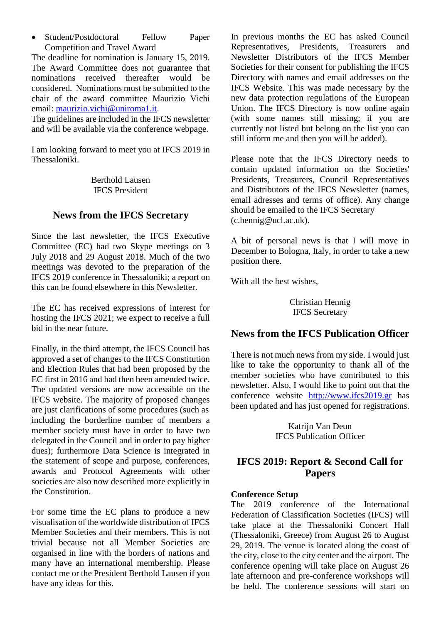• Student/Postdoctoral Fellow Paper Competition and Travel Award

The deadline for nomination is January 15, 2019. The Award Committee does not guarantee that nominations received thereafter would be considered. Nominations must be submitted to the chair of the award committee Maurizio Vichi email: [maurizio.vichi@uniroma1.it.](mailto:maurizio.vichi@uniroma1.it)

The guidelines are included in the IFCS newsletter and will be available via the conference webpage.

I am looking forward to meet you at IFCS 2019 in Thessaloniki.

> Berthold Lausen IFCS President

# **News from the IFCS Secretary**

Since the last newsletter, the IFCS Executive Committee (EC) had two Skype meetings on 3 July 2018 and 29 August 2018. Much of the two meetings was devoted to the preparation of the IFCS 2019 conference in Thessaloniki; a report on this can be found elsewhere in this Newsletter.

The EC has received expressions of interest for hosting the IFCS 2021; we expect to receive a full bid in the near future.

Finally, in the third attempt, the IFCS Council has approved a set of changes to the IFCS Constitution and Election Rules that had been proposed by the EC first in 2016 and had then been amended twice. The updated versions are now accessible on the IFCS website. The majority of proposed changes are just clarifications of some procedures (such as including the borderline number of members a member society must have in order to have two delegated in the Council and in order to pay higher dues); furthermore Data Science is integrated in the statement of scope and purpose, conferences, awards and Protocol Agreements with other societies are also now described more explicitly in the Constitution.

For some time the EC plans to produce a new visualisation of the worldwide distribution of IFCS Member Societies and their members. This is not trivial because not all Member Societies are organised in line with the borders of nations and many have an international membership. Please contact me or the President Berthold Lausen if you have any ideas for this.

In previous months the EC has asked Council Representatives, Presidents, Treasurers and Newsletter Distributors of the IFCS Member Societies for their consent for publishing the IFCS Directory with names and email addresses on the IFCS Website. This was made necessary by the new data protection regulations of the European Union. The IFCS Directory is now online again (with some names still missing; if you are currently not listed but belong on the list you can still inform me and then you will be added).

Please note that the IFCS Directory needs to contain updated information on the Societies' Presidents, Treasurers, Council Representatives and Distributors of the IFCS Newsletter (names, email adresses and terms of office). Any change should be emailed to the IFCS Secretary (c.hennig@ucl.ac.uk).

A bit of personal news is that I will move in December to Bologna, Italy, in order to take a new position there.

With all the best wishes,

Christian Hennig IFCS Secretary

# **News from the IFCS Publication Officer**

There is not much news from my side. I would just like to take the opportunity to thank all of the member societies who have contributed to this newsletter. Also, I would like to point out that the conference website [http://www.ifcs2019.gr](https://email.campus.uvt.nl/owa/redir.aspx?C=uP2bz97x-_hkPYvxfPRs-xV9IonsZsTImKL183LdlbqOT0bcIrvVCA..&URL=http%3a%2f%2fwww.ifcs2019.gr) has been updated and has just opened for registrations.

> Katrijn Van Deun IFCS Publication Officer

# **IFCS 2019: Report & Second Call for Papers**

#### **Conference Setup**

The 2019 conference of the International Federation of Classification Societies (IFCS) will take place at the Thessaloniki Concert Hall (Thessaloniki, Greece) from August 26 to August 29, 2019. The venue is located along the coast of the city, close to the city center and the airport. The conference opening will take place on August 26 late afternoon and pre-conference workshops will be held. The conference sessions will start on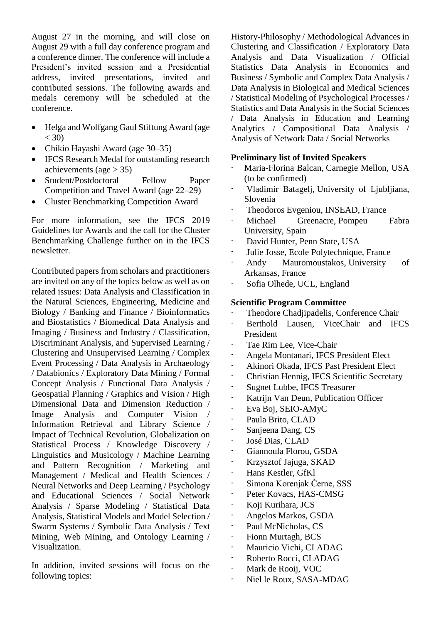August 27 in the morning, and will close on August 29 with a full day conference program and a conference dinner. The conference will include a President's invited session and a Presidential address, invited presentations, invited and contributed sessions. The following awards and medals ceremony will be scheduled at the conference.

- Helga and Wolfgang Gaul Stiftung Award (age  $< 30$ )
- Chikio Hayashi Award (age 30–35)
- IFCS Research Medal for outstanding research achievements (age  $>$  35)
- Student/Postdoctoral Fellow Paper Competition and Travel Award (age 22–29)
- [Cluster Benchmarking Competition](https://ifcs.gr/wp-content/uploads/2018/10/Call_challenge3.pdf) Award

For more information, see the [IFCS 2019](https://ifcs.gr/wp-content/uploads/2018/11/IFCS2019_GuidelinesForAwards.pdf)  [Guidelines for Awards](https://ifcs.gr/wp-content/uploads/2018/11/IFCS2019_GuidelinesForAwards.pdf) and the call for the Cluster Benchmarking Challenge further on in the IFCS newsletter.

Contributed papers from scholars and practitioners are invited on any of the topics below as well as on related issues: Data Analysis and Classification in the Natural Sciences, Engineering, Medicine and Biology / Banking and Finance / Bioinformatics and Biostatistics / Biomedical Data Analysis and Imaging / Business and Industry / Classification, Discriminant Analysis, and Supervised Learning / Clustering and Unsupervised Learning / Complex Event Processing / Data Analysis in Archaeology / Databionics / Exploratory Data Mining / Formal Concept Analysis / Functional Data Analysis / Geospatial Planning / Graphics and Vision / High Dimensional Data and Dimension Reduction / Image Analysis and Computer Vision / Information Retrieval and Library Science / Impact of Technical Revolution, Globalization on Statistical Process / Knowledge Discovery / Linguistics and Musicology / Machine Learning and Pattern Recognition / Marketing and Management / Medical and Health Sciences / Neural Networks and Deep Learning / Psychology and Educational Sciences / Social Network Analysis / Sparse Modeling / Statistical Data Analysis, Statistical Models and Model Selection / Swarm Systems / Symbolic Data Analysis / Text Mining, Web Mining, and Ontology Learning / Visualization.

In addition, invited sessions will focus on the following topics:

History-Philosophy / Methodological Advances in Clustering and Classification / Exploratory Data Analysis and Data Visualization / Official Statistics Data Analysis in Economics and Business / Symbolic and Complex Data Analysis / Data Analysis in Biological and Medical Sciences / Statistical Modeling of Psychological Processes / Statistics and Data Analysis in the Social Sciences / Data Analysis in Education and Learning Analytics / Compositional Data Analysis / Analysis of Network Data / Social Networks

#### **Preliminary list of Invited Speakers**

- Maria-Florina Balcan, Carnegie Mellon, USA (to be confirmed)
- Vladimir Batagelj, University of Ljubljiana, Slovenia
- Theodoros Evgeniou, INSEAD, France
- Michael Greenacre, Pompeu Fabra University, Spain
- David Hunter, Penn State, USA
- Julie Josse, Ecole Polytechnique, France
- Andy Mauromoustakos, University of Arkansas, France
- Sofia Olhede, UCL, England

#### **Scientific Program Committee**

- Theodore Chadjipadelis, Conference Chair
- Berthold Lausen, ViceChair and IFCS President
- Tae Rim Lee, Vice-Chair
- Angela Montanari, IFCS President Elect
- Akinori Okada, IFCS Past President Elect
- Christian Hennig, IFCS Scientific Secretary
- Sugnet Lubbe, IFCS Treasurer
- Katrijn Van Deun, Publication Officer
- Eva Boj, SEIO-AMyC
- Paula Brito, CLAD
- Sanjeena Dang, CS
- José Dias, CLAD
- Giannoula Florou, GSDA
- Krzysztof Jajuga, SKAD
- Hans Kestler, GfKl
- Simona Korenjak Černe, SSS
- Peter Kovacs, HAS-CMSG
- Koji Kurihara, JCS
- Angelos Markos, GSDA
- Paul McNicholas, CS
- Fionn Murtagh, BCS
- Mauricio Vichi, CLADAG
- Roberto Rocci, CLADAG
- Mark de Rooij, VOC
- Niel le Roux, SASA-MDAG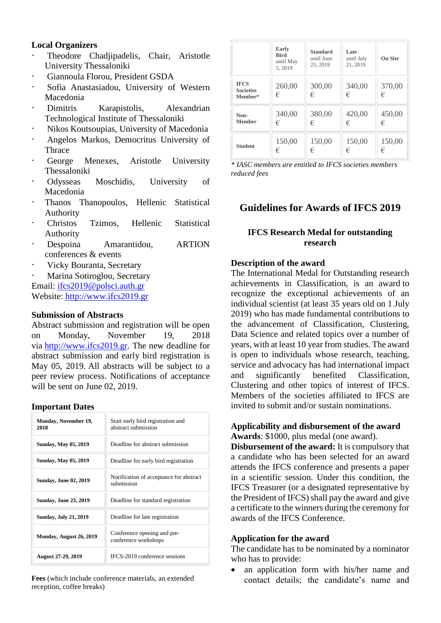## **Local Organizers**

- Theodore Chadjipadelis, Chair, Aristotle University Thessaloniki
- Giannoula Florou, President GSDA
- Sofia Anastasiadou, University of Western Macedonia
- Dimitris Karapistolis, Alexandrian Technological Institute of Thessaloniki
- Nikos Koutsoupias, University of Macedonia
- Angelos Markos, Democritus University of Thrace
- George Menexes, Aristotle University Thessaloniki
- Odysseas Moschidis, University of Macedonia
- Thanos Thanopoulos, Hellenic Statistical Authority
- Christos Tzimos, Hellenic Statistical Authority
- Despoina Amarantidou, ARTION conferences & events
- Vicky Bouranta, Secretary
- Marina Sotiroglou, Secretary Email: [ifcs2019@polsci.auth.gr](mailto:ifcs2019@polsci.auth.gr) Website: [http://www.ifcs2019.gr](http://www.ifcs2019.gr/)

#### **Submission of Abstracts**

Abstract submission and registration will be open on Monday, November 19, 2018 via [http://www.ifcs2019.gr.](http://www.ifcs2019.gr/) The new deadline for abstract submission and early bird registration is May 05, 2019. All abstracts will be subject to a peer review process. Notifications of acceptance will be sent on June 02, 2019.

#### **Important Dates**

| Monday, November 19,<br>2018 | Start early bird registration and<br>abstract submission |  |  |
|------------------------------|----------------------------------------------------------|--|--|
| <b>Sunday, May 05, 2019</b>  | Deadline for abstract submission                         |  |  |
| <b>Sunday, May 05, 2019</b>  | Deadline for early bird registration                     |  |  |
| <b>Sunday, June 02, 2019</b> | Notification of acceptance for abstract<br>submission    |  |  |
| <b>Sunday, June 23, 2019</b> | Deadline for standard registration                       |  |  |
| <b>Sunday, July 21, 2019</b> | Deadline for late registration                           |  |  |
| Monday, August 26, 2019      | Conference opening and pre-<br>conference workshops      |  |  |
| <b>August 27-29, 2019</b>    | IFCS-2019 conference sessions                            |  |  |

**Fees** (which include conference materials, an extended reception, coffee breaks)

|                                            | <b>Early</b><br><b>Bird</b><br>until May<br>5, 2019 | <b>Standard</b><br>until June<br>23, 2019 | Late<br>until July<br>21, 2019 | <b>On Site</b> |
|--------------------------------------------|-----------------------------------------------------|-------------------------------------------|--------------------------------|----------------|
| <b>IFCS</b><br><b>Societies</b><br>Member* | 260,00<br>€                                         | 300,00<br>€                               | 340,00<br>€                    | 370,00<br>€    |
| Non-                                       | 340,00                                              | 380,00                                    | 420,00                         | 450,00         |
| <b>Member</b>                              | €                                                   | €                                         | €                              | €              |
| <b>Student</b>                             | 150,00                                              | 150,00                                    | 150,00                         | 150,00         |
|                                            | €                                                   | €                                         | €                              | €              |

*\* IASC members are entitled to IFCS societies members reduced fees*

# **Guidelines for Awards of IFCS 2019**

## **IFCS Research Medal for outstanding research**

#### **Description of the award**

The International Medal for Outstanding research achievements in Classification, is an award to recognize the exceptional achievements of an individual scientist (at least 35 years old on 1 July 2019) who has made fundamental contributions to the advancement of Classification, Clustering, Data Science and related topics over a number of years, with at least 10 year from studies. The award is open to individuals whose research, teaching, service and advocacy has had international impact and significantly benefited Classification, Clustering and other topics of interest of IFCS. Members of the societies affiliated to IFCS are invited to submit and/or sustain nominations.

#### **Applicability and disbursement of the award Awards**: \$1000, plus medal (one award).

**Disbursement of the award:** It is compulsory that a candidate who has been selected for an award attends the IFCS conference and presents a paper in a scientific session. Under this condition, the IFCS Treasurer (or a designated representative by the President of IFCS) shall pay the award and give a certificate to the winners during the ceremony for awards of the IFCS Conference.

#### **Application for the award**

The candidate has to be nominated by a nominator who has to provide:

• an application form with his/her name and contact details; the candidate's name and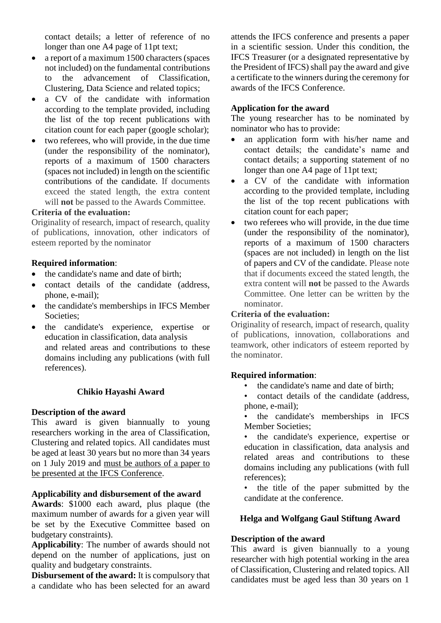contact details; a letter of reference of no longer than one A4 page of 11pt text;

- a report of a maximum 1500 characters (spaces not included) on the fundamental contributions to the advancement of Classification, Clustering, Data Science and related topics;
- a CV of the candidate with information according to the template provided, including the list of the top recent publications with citation count for each paper (google scholar);
- two referees, who will provide, in the due time (under the responsibility of the nominator), reports of a maximum of 1500 characters (spaces not included) in length on the scientific contributions of the candidate. If documents exceed the stated length, the extra content will **not** be passed to the Awards Committee.

## **Criteria of the evaluation:**

Originality of research, impact of research, quality of publications, innovation, other indicators of esteem reported by the nominator

#### **Required information**:

- the candidate's name and date of birth;
- contact details of the candidate (address, phone, e-mail);
- the candidate's memberships in IFCS Member Societies;
- the candidate's experience, expertise or education in classification, data analysis and related areas and contributions to these domains including any publications (with full references).

## **Chikio Hayashi Award**

#### **Description of the award**

This award is given biannually to young researchers working in the area of Classification, Clustering and related topics. All candidates must be aged at least 30 years but no more than 34 years on 1 July 2019 and must be authors of a paper to be presented at the IFCS Conference.

#### **Applicability and disbursement of the award**

**Awards**: \$1000 each award, plus plaque (the maximum number of awards for a given year will be set by the Executive Committee based on budgetary constraints).

**Applicability**: The number of awards should not depend on the number of applications, just on quality and budgetary constraints.

**Disbursement of the award:** It is compulsory that a candidate who has been selected for an award attends the IFCS conference and presents a paper in a scientific session. Under this condition, the IFCS Treasurer (or a designated representative by the President of IFCS) shall pay the award and give a certificate to the winners during the ceremony for awards of the IFCS Conference.

## **Application for the award**

The young researcher has to be nominated by nominator who has to provide:

- an application form with his/her name and contact details; the candidate's name and contact details; a supporting statement of no longer than one A4 page of 11pt text;
- a CV of the candidate with information according to the provided template, including the list of the top recent publications with citation count for each paper;
- two referees who will provide, in the due time (under the responsibility of the nominator), reports of a maximum of 1500 characters (spaces are not included) in length on the list of papers and CV of the candidate. Please note that if documents exceed the stated length, the extra content will **not** be passed to the Awards Committee. One letter can be written by the nominator.

#### **Criteria of the evaluation:**

Originality of research, impact of research, quality of publications, innovation, collaborations and teamwork, other indicators of esteem reported by the nominator.

#### **Required information**:

- the candidate's name and date of birth;
- contact details of the candidate (address, phone, e-mail);
- the candidate's memberships in IFCS Member Societies;
- the candidate's experience, expertise or education in classification, data analysis and related areas and contributions to these domains including any publications (with full references);
- the title of the paper submitted by the candidate at the conference.

## **Helga and Wolfgang Gaul Stiftung Award**

#### **Description of the award**

This award is given biannually to a young researcher with high potential working in the area of Classification, Clustering and related topics. All candidates must be aged less than 30 years on 1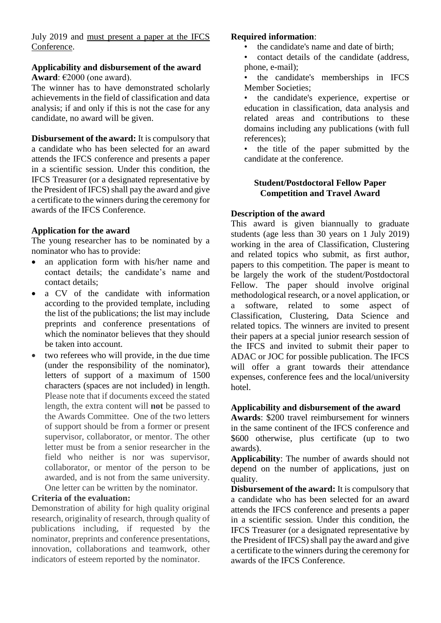July 2019 and must present a paper at the IFCS Conference.

# **Applicability and disbursement of the award**

**Award**: €2000 (one award).

The winner has to have demonstrated scholarly achievements in the field of classification and data analysis; if and only if this is not the case for any candidate, no award will be given.

**Disbursement of the award:** It is compulsory that a candidate who has been selected for an award attends the IFCS conference and presents a paper in a scientific session. Under this condition, the IFCS Treasurer (or a designated representative by the President of IFCS) shall pay the award and give a certificate to the winners during the ceremony for awards of the IFCS Conference.

# **Application for the award**

The young researcher has to be nominated by a nominator who has to provide:

- an application form with his/her name and contact details; the candidate's name and contact details;
- a CV of the candidate with information according to the provided template, including the list of the publications; the list may include preprints and conference presentations of which the nominator believes that they should be taken into account.
- two referees who will provide, in the due time (under the responsibility of the nominator), letters of support of a maximum of 1500 characters (spaces are not included) in length. Please note that if documents exceed the stated length, the extra content will **not** be passed to the Awards Committee. One of the two letters of support should be from a former or present supervisor, collaborator, or mentor. The other letter must be from a senior researcher in the field who neither is nor was supervisor, collaborator, or mentor of the person to be awarded, and is not from the same university. One letter can be written by the nominator.

# **Criteria of the evaluation:**

Demonstration of ability for high quality original research, originality of research, through quality of publications including, if requested by the nominator, preprints and conference presentations, innovation, collaborations and teamwork, other indicators of esteem reported by the nominator.

## **Required information**:

- the candidate's name and date of birth;
- contact details of the candidate (address, phone, e-mail);

• the candidate's memberships in IFCS Member Societies;

the candidate's experience, expertise or education in classification, data analysis and related areas and contributions to these domains including any publications (with full references);

• the title of the paper submitted by the candidate at the conference.

# **Student/Postdoctoral Fellow Paper Competition and Travel Award**

# **Description of the award**

This award is given biannually to graduate students (age less than 30 years on 1 July 2019) working in the area of Classification, Clustering and related topics who submit, as first author, papers to this competition. The paper is meant to be largely the work of the student/Postdoctoral Fellow. The paper should involve original methodological research, or a novel application, or a software, related to some aspect of Classification, Clustering, Data Science and related topics. The winners are invited to present their papers at a special junior research session of the IFCS and invited to submit their paper to ADAC or JOC for possible publication. The IFCS will offer a grant towards their attendance expenses, conference fees and the local/university hotel.

## **Applicability and disbursement of the award**

**Awards**: \$200 travel reimbursement for winners in the same continent of the IFCS conference and \$600 otherwise, plus certificate (up to two awards).

**Applicability**: The number of awards should not depend on the number of applications, just on quality.

**Disbursement of the award:** It is compulsory that a candidate who has been selected for an award attends the IFCS conference and presents a paper in a scientific session. Under this condition, the IFCS Treasurer (or a designated representative by the President of IFCS) shall pay the award and give a certificate to the winners during the ceremony for awards of the IFCS Conference.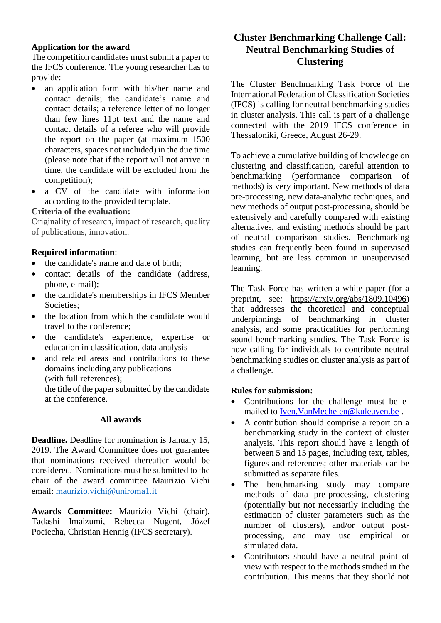## **Application for the award**

The competition candidates must submit a paper to the IFCS conference. The young researcher has to provide:

- an application form with his/her name and contact details; the candidate's name and contact details; a reference letter of no longer than few lines 11pt text and the name and contact details of a referee who will provide the report on the paper (at maximum 1500 characters, spaces not included) in the due time (please note that if the report will not arrive in time, the candidate will be excluded from the competition);
- a CV of the candidate with information according to the provided template.

## **Criteria of the evaluation:**

Originality of research, impact of research, quality of publications, innovation.

#### **Required information**:

- the candidate's name and date of birth;
- contact details of the candidate (address, phone, e-mail);
- the candidate's memberships in IFCS Member Societies:
- the location from which the candidate would travel to the conference;
- the candidate's experience, expertise or education in classification, data analysis
- and related areas and contributions to these domains including any publications (with full references);

the title of the paper submitted by the candidate at the conference.

#### **All awards**

**Deadline.** Deadline for nomination is January 15, 2019. The Award Committee does not guarantee that nominations received thereafter would be considered. Nominations must be submitted to the chair of the award committee Maurizio Vichi email: [maurizio.vichi@uniroma1.it](mailto:maurizio.vichi@uniroma1.it)

**Awards Committee:** Maurizio Vichi (chair), Tadashi Imaizumi, Rebecca Nugent, Józef Pociecha, Christian Hennig (IFCS secretary).

# **Cluster Benchmarking Challenge Call: Neutral Benchmarking Studies of Clustering**

The Cluster Benchmarking Task Force of the International Federation of Classification Societies (IFCS) is calling for neutral benchmarking studies in cluster analysis. This call is part of a challenge connected with the 2019 IFCS conference in Thessaloniki, Greece, August 26-29.

To achieve a cumulative building of knowledge on clustering and classification, careful attention to benchmarking (performance comparison of methods) is very important. New methods of data pre-processing, new data-analytic techniques, and new methods of output post-processing, should be extensively and carefully compared with existing alternatives, and existing methods should be part of neutral comparison studies. Benchmarking studies can frequently been found in supervised learning, but are less common in unsupervised learning.

The Task Force has written a white paper (for a preprint, see: https://arxiv.org/abs/1809.10496) that addresses the theoretical and conceptual underpinnings of benchmarking in cluster analysis, and some practicalities for performing sound benchmarking studies. The Task Force is now calling for individuals to contribute neutral benchmarking studies on cluster analysis as part of a challenge.

#### **Rules for submission:**

- Contributions for the challenge must be emailed to [Iven.VanMechelen@kuleuven.be](mailto:Iven.VanMechelen@kuleuven.be) .
- A contribution should comprise a report on a benchmarking study in the context of cluster analysis. This report should have a length of between 5 and 15 pages, including text, tables, figures and references; other materials can be submitted as separate files.
- The benchmarking study may compare methods of data pre-processing, clustering (potentially but not necessarily including the estimation of cluster parameters such as the number of clusters), and/or output postprocessing, and may use empirical or simulated data.
- Contributors should have a neutral point of view with respect to the methods studied in the contribution. This means that they should not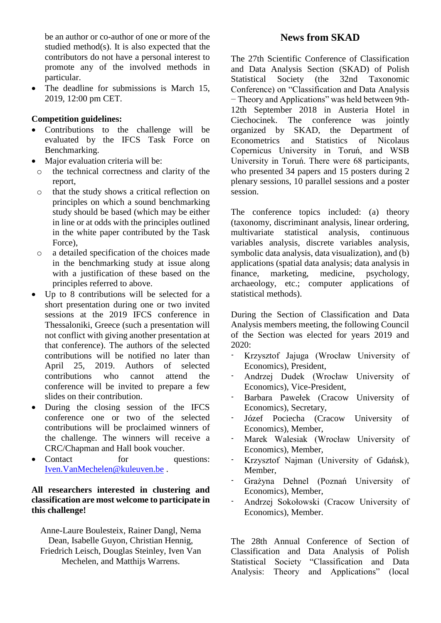be an author or co-author of one or more of the studied method(s). It is also expected that the contributors do not have a personal interest to promote any of the involved methods in particular.

• The deadline for submissions is March 15, 2019, 12:00 pm CET.

## **Competition guidelines:**

- Contributions to the challenge will be evaluated by the IFCS Task Force on Benchmarking.
- Major evaluation criteria will be:
- o the technical correctness and clarity of the report,
- o that the study shows a critical reflection on principles on which a sound benchmarking study should be based (which may be either in line or at odds with the principles outlined in the white paper contributed by the Task Force),
- o a detailed specification of the choices made in the benchmarking study at issue along with a justification of these based on the principles referred to above.
- Up to 8 contributions will be selected for a short presentation during one or two invited sessions at the 2019 IFCS conference in Thessaloniki, Greece (such a presentation will not conflict with giving another presentation at that conference). The authors of the selected contributions will be notified no later than April 25, 2019. Authors of selected contributions who cannot attend the conference will be invited to prepare a few slides on their contribution.
- During the closing session of the IFCS conference one or two of the selected contributions will be proclaimed winners of the challenge. The winners will receive a CRC/Chapman and Hall book voucher.
- Contact for questions: [Iven.VanMechelen@kuleuven.be](mailto:Iven.VanMechelen@kuleuven.be) .

# **All researchers interested in clustering and classification are most welcome to participate in this challenge!**

Anne-Laure Boulesteix, Rainer Dangl, Nema Dean, Isabelle Guyon, Christian Hennig, Friedrich Leisch, Douglas Steinley, Iven Van Mechelen, and Matthijs Warrens.

# **News from SKAD**

The 27th Scientific Conference of Classification and Data Analysis Section (SKAD) of Polish Statistical Society (the 32nd Taxonomic Conference) on "Classification and Data Analysis − Theory and Applicationsˮ was held between 9th-12th September 2018 in Austeria Hotel in Ciechocinek. The conference was jointly organized by SKAD, the Department of Econometrics and Statistics of Nicolaus Copernicus University in Toruń, and WSB University in Toruń. There were 68 participants, who presented 34 papers and 15 posters during 2 plenary sessions, 10 parallel sessions and a poster session.

The conference topics included: (a) theory (taxonomy, discriminant analysis, linear ordering, multivariate variables analysis, discrete variables analysis, symbolic data analysis, data visualization), and (b) applications (spatial data analysis; data analysis in finance, marketing, medicine, psychology, finance, marketing, medicine, psychology, archaeology, etc.; computer applications of statistical methods).

During the Section of Classification and Data Analysis members meeting, the following Council of the Section was elected for years 2019 and 2020:

- Krzysztof Jajuga (Wrocław University of Economics), President,
- Andrzej Dudek (Wrocław University of Economics), Vice-President,
- Barbara Pawełek (Cracow University of Economics), Secretary,
- Józef Pociecha (Cracow University of Economics), Member,
- Marek Walesiak (Wrocław University of Economics), Member,
- Krzysztof Najman (University of Gdańsk), Member,
- Grażyna Dehnel (Poznań University of Economics), Member,
- Andrzej Sokołowski (Cracow University of Economics), Member.

The 28th Annual Conference of Section of Classification and Data Analysis of Polish Statistical Society "Classification and Data Analysis: Theory and Applications" (local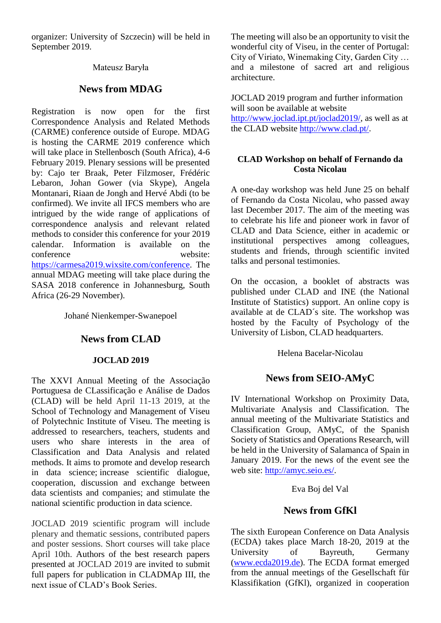organizer: University of Szczecin) will be held in September 2019.

## Mateusz Baryła

# **News from MDAG**

Registration is now open for the first Correspondence Analysis and Related Methods (CARME) conference outside of Europe. MDAG is hosting the CARME 2019 conference which will take place in Stellenbosch (South Africa), 4-6 February 2019. Plenary sessions will be presented by: Cajo ter Braak, Peter Filzmoser, Frédéric Lebaron, Johan Gower (via Skype), Angela Montanari, Riaan de Jongh and Hervé Abdi (to be confirmed). We invite all IFCS members who are intrigued by the wide range of applications of correspondence analysis and relevant related methods to consider this conference for your 2019 calendar. Information is available on the conference website: [https://carmesa2019.wixsite.com/conference.](https://carmesa2019.wixsite.com/conference) The annual MDAG meeting will take place during the SASA 2018 conference in Johannesburg, South Africa (26-29 November).

Johané Nienkemper-Swanepoel

# **News from CLAD**

## **JOCLAD 2019**

The XXVI Annual Meeting of the Associação Portuguesa de CLassificação e Análise de Dados (CLAD) will be held April 11-13 2019, at the School of Technology and Management of Viseu of Polytechnic Institute of Viseu. The meeting is addressed to researchers, teachers, students and users who share interests in the area of Classification and Data Analysis and related methods. It aims to promote and develop research in data science; increase scientific dialogue, cooperation, discussion and exchange between data scientists and companies; and stimulate the national scientific production in data science.

JOCLAD 2019 scientific program will include plenary and thematic sessions, contributed papers and poster sessions. Short courses will take place April 10th. Authors of the best research papers presented at JOCLAD 2019 are invited to submit full papers for publication in CLADMAp III, the next issue of CLAD's Book Series.

The meeting will also be an opportunity to visit the wonderful city of Viseu, in the center of Portugal: City of Viriato, Winemaking City, Garden City … and a milestone of sacred art and religious architecture.

JOCLAD 2019 program and further information will soon be available at website http://www.joclad.ipt.pt/joclad2019/, as well as at the CLAD website [http://www.clad.pt/.](http://www.clad.pt/)

# **CLAD Workshop on behalf of Fernando da Costa Nicolau**

A one-day workshop was held June 25 on behalf of Fernando da Costa Nicolau, who passed away last December 2017. The aim of the meeting was to celebrate his life and pioneer work in favor of CLAD and Data Science, either in academic or institutional perspectives among colleagues, students and friends, through scientific invited talks and personal testimonies.

On the occasion, a booklet of abstracts was published under CLAD and INE (the National Institute of Statistics) support. An online copy is available at de CLAD´s site. The workshop was hosted by the Faculty of Psychology of the University of Lisbon, CLAD headquarters.

Helena Bacelar-Nicolau

# **News from SEIO-AMyC**

IV International Workshop on Proximity Data, Multivariate Analysis and Classification. The annual meeting of the Multivariate Statistics and Classification Group, AMyC, of the Spanish Society of Statistics and Operations Research, will be held in the University of Salamanca of Spain in January 2019. For the news of the event see the web site: [http://amyc.seio.es/.](https://email.campus.uvt.nl/owa/redir.aspx?C=P8VIuIMt-pEx1KNPpIO1WE_r8pVNuNYP_5e79BZd9Ha5CyGIPjTWCA..&URL=http%3a%2f%2famyc.seio.es%2f)

## Eva Boj del Val

# **News from GfKl**

The sixth European Conference on Data Analysis (ECDA) takes place March 18-20, 2019 at the University of Bayreuth, Germany [\(www.ecda2019.de\)](https://email.campus.uvt.nl/owa/redir.aspx?C=CYLJbMyi1GR2-zAXQ6ijb6Ru09WZspEh3c64wwPTI3VVqh6IPjTWCA..&URL=http%3a%2f%2fwww.ecda2019.de). The ECDA format emerged from the annual meetings of the Gesellschaft für Klassifikation (GfKl), organized in cooperation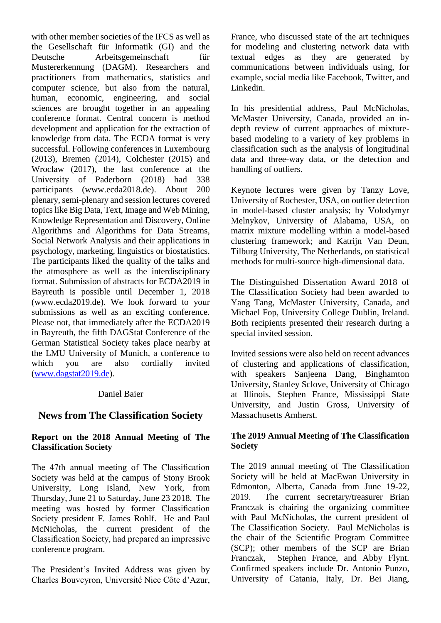with other member societies of the IFCS as well as the Gesellschaft für Informatik (GI) and the Deutsche Arbeitsgemeinschaft für Mustererkennung (DAGM). Researchers and practitioners from mathematics, statistics and computer science, but also from the natural, human, economic, engineering, and social sciences are brought together in an appealing conference format. Central concern is method development and application for the extraction of knowledge from data. The ECDA format is very successful. Following conferences in Luxembourg (2013), Bremen (2014), Colchester (2015) and Wroclaw (2017), the last conference at the University of Paderborn (2018) had 338 participants [\(www.ecda2018.de\)](https://email.campus.uvt.nl/owa/redir.aspx?C=jH9h58T1RtDj6DBJ1Vs3UAXmKyIyv8CxPb6-OFN-1spVqh6IPjTWCA..&URL=http%3a%2f%2fwww.ecda2018.de). About 200 plenary, semi-plenary and session lectures covered topics like Big Data, Text, Image and Web Mining, Knowledge Representation and Discovery, Online Algorithms and Algorithms for Data Streams, Social Network Analysis and their applications in psychology, marketing, linguistics or biostatistics. The participants liked the quality of the talks and the atmosphere as well as the interdisciplinary format. Submission of abstracts for ECDA2019 in Bayreuth is possible until December 1, 2018 [\(www.ecda2019.de\)](https://email.campus.uvt.nl/owa/redir.aspx?C=CYLJbMyi1GR2-zAXQ6ijb6Ru09WZspEh3c64wwPTI3VVqh6IPjTWCA..&URL=http%3a%2f%2fwww.ecda2019.de). We look forward to your submissions as well as an exciting conference. Please not, that immediately after the ECDA2019 in Bayreuth, the fifth DAGStat Conference of the German Statistical Society takes place nearby at the LMU University of Munich, a conference to which you are also cordially invited [\(www.dagstat2019.de\)](https://email.campus.uvt.nl/owa/redir.aspx?C=fngnbfRy7IjvHiWjsRZpuNdSVah6BdxhJTry7nWePky5CyGIPjTWCA..&URL=http%3a%2f%2fwww.dagstat2019.de).

## Daniel Baier

# **News from The Classification Society**

# **Report on the 2018 Annual Meeting of The Classification Society**

The 47th annual meeting of The Classification Society was held at the campus of Stony Brook University, Long Island, New York, from Thursday, June 21 to Saturday, June 23 2018. The meeting was hosted by former Classification Society president F. James Rohlf. He and Paul McNicholas, the current president of the Classification Society, had prepared an impressive conference program.

The President's Invited Address was given by Charles Bouveyron, Université Nice Côte d'Azur, France, who discussed state of the art techniques for modeling and clustering network data with textual edges as they are generated by communications between individuals using, for example, social media like Facebook, Twitter, and Linkedin.

In his presidential address, Paul McNicholas, McMaster University, Canada, provided an indepth review of current approaches of mixturebased modeling to a variety of key problems in classification such as the analysis of longitudinal data and three-way data, or the detection and handling of outliers.

Keynote lectures were given by Tanzy Love, University of Rochester, USA, on outlier detection in model-based cluster analysis; by Volodymyr Melnykov, University of Alabama, USA, on matrix mixture modelling within a model-based clustering framework; and Katrijn Van Deun, Tilburg University, The Netherlands, on statistical methods for multi-source high-dimensional data.

The Distinguished Dissertation Award 2018 of The Classification Society had been awarded to Yang Tang, McMaster University, Canada, and Michael Fop, University College Dublin, Ireland. Both recipients presented their research during a special invited session.

Invited sessions were also held on recent advances of clustering and applications of classification, with speakers Sanjeena Dang, Binghamton University, Stanley Sclove, University of Chicago at Illinois, Stephen France, Mississippi State University, and Justin Gross, University of Massachusetts Amherst.

# **The 2019 Annual Meeting of The Classification Society**

The 2019 annual meeting of The Classification Society will be held at MacEwan University in Edmonton, Alberta, Canada from June 19-22, 2019. The current secretary/treasurer Brian Franczak is chairing the organizing committee with Paul McNicholas, the current president of The Classification Society. Paul McNicholas is the chair of the Scientific Program Committee (SCP); other members of the SCP are Brian Franczak, Stephen France, and Abby Flynt. Confirmed speakers include Dr. Antonio Punzo, University of Catania, Italy, Dr. Bei Jiang,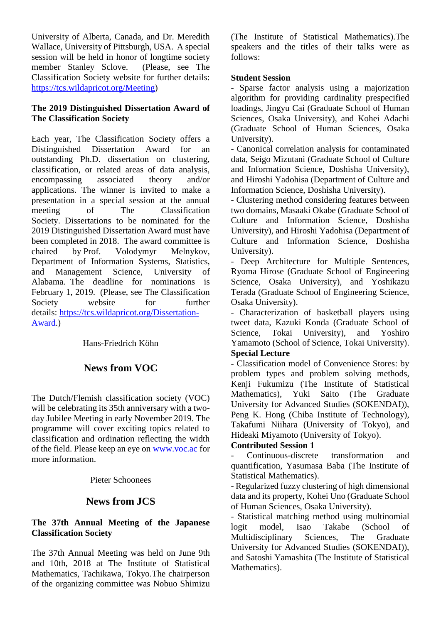University of Alberta, Canada, and Dr. Meredith Wallace, University of Pittsburgh, USA. A special session will be held in honor of longtime society member Stanley Sclove. (Please, see The Classification Society website for further details: https://tcs.wildapricot.org/Meeting)

## **The 2019 Distinguished Dissertation Award of The Classification Society**

Each year, The Classification Society offers a Distinguished Dissertation Award for an outstanding Ph.D. dissertation on clustering, classification, or related areas of data analysis, encompassing associated theory and/or applications. The winner is invited to make a presentation in a special session at the annual meeting of The Classification Society. Dissertations to be nominated for the 2019 Distinguished Dissertation Award must have been completed in 2018. The award committee is chaired by Prof. Volodymyr Melnykov, Department of Information Systems, Statistics,<br>and Management Science. University of and Management Science, University of Alabama. The deadline for nominations is February 1, 2019. (Please, see The Classification Society website for further details: [https://tcs.wildapricot.org/Dissertation-](https://email.campus.uvt.nl/owa/redir.aspx?C=7_UOkNWovm7yrpV0ZFtxEgPk6Kpyp4crPEkDw-MGHR3RsvNZNT7WCA..&URL=https%3a%2f%2ftcs.wildapricot.org%2fDissertation-Award)[Award.](https://email.campus.uvt.nl/owa/redir.aspx?C=7_UOkNWovm7yrpV0ZFtxEgPk6Kpyp4crPEkDw-MGHR3RsvNZNT7WCA..&URL=https%3a%2f%2ftcs.wildapricot.org%2fDissertation-Award))

Hans-Friedrich Köhn

# **News from VOC**

The Dutch/Flemish classification society (VOC) will be celebrating its 35th anniversary with a twoday Jubilee Meeting in early November 2019. The programme will cover exciting topics related to classification and ordination reflecting the width of the field. Please keep an eye on [www.voc.ac](https://email.campus.uvt.nl/owa/redir.aspx?C=pcxgd1iA7PxLL9PuAT53L-uYkTiia-IL_ix6JNe13rGdCNEbNjfWCA..&URL=http%3a%2f%2fwww.voc.ac) for more information.

Pieter Schoonees

# **News from JCS**

# **The 37th Annual Meeting of the Japanese Classification Society**

The 37th Annual Meeting was held on June 9th and 10th, 2018 at The Institute of Statistical Mathematics, Tachikawa, Tokyo.The chairperson of the organizing committee was Nobuo Shimizu (The Institute of Statistical Mathematics).The speakers and the titles of their talks were as follows:

### **Student Session**

- Sparse factor analysis using a majorization algorithm for providing cardinality prespecified loadings, Jingyu Cai (Graduate School of Human Sciences, Osaka University), and Kohei Adachi (Graduate School of Human Sciences, Osaka University).

- Canonical correlation analysis for contaminated data, Seigo Mizutani (Graduate School of Culture and Information Science, Doshisha University), and Hiroshi Yadohisa (Department of Culture and Information Science, Doshisha University).

- Clustering method considering features between two domains, Masaaki Okabe (Graduate School of Culture and Information Science, Doshisha University), and Hiroshi Yadohisa (Department of Culture and Information Science, Doshisha University).

- Deep Architecture for Multiple Sentences, Ryoma Hirose (Graduate School of Engineering Science, Osaka University), and Yoshikazu Terada (Graduate School of Engineering Science, Osaka University).

- Characterization of basketball players using tweet data, Kazuki Konda (Graduate School of Science, Tokai University), and Yoshiro Yamamoto (School of Science, Tokai University). **Special Lecture**

- Classification model of Convenience Stores: by problem types and problem solving methods, Kenji Fukumizu (The Institute of Statistical Mathematics), Yuki Saito (The Graduate University for Advanced Studies (SOKENDAI)), Peng K. Hong (Chiba Institute of Technology), Takafumi Niihara (University of Tokyo), and Hideaki Miyamoto (University of Tokyo).

## **Contributed Session 1**

- Continuous-discrete transformation and quantification, Yasumasa Baba (The Institute of Statistical Mathematics).

- Regularized fuzzy clustering of high dimensional data and its property, Kohei Uno (Graduate School of Human Sciences, Osaka University).

- Statistical matching method using multinomial logit model, Isao Takabe (School of Multidisciplinary Sciences, The Graduate University for Advanced Studies (SOKENDAI)), and Satoshi Yamashita (The Institute of Statistical Mathematics).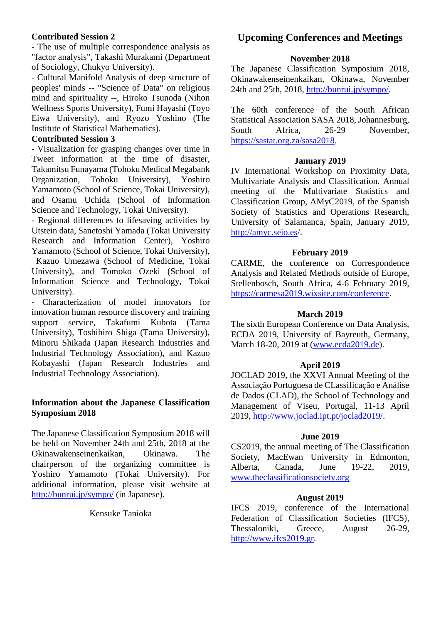#### **Contributed Session 2**

- The use of multiple correspondence analysis as "factor analysis", Takashi Murakami (Department of Sociology, Chukyo University).

- Cultural Manifold Analysis of deep structure of peoples' minds -- "Science of Data" on religious mind and spirituality --, Hiroko Tsunoda (Nihon Wellness Sports University), Fumi Hayashi (Toyo Eiwa University), and Ryozo Yoshino (The Institute of Statistical Mathematics).

#### **Contributed Session 3**

- Visualization for grasping changes over time in Tweet information at the time of disaster, Takamitsu Funayama (Tohoku Medical Megabank Organization, Tohoku University), Yoshiro Yamamoto (School of Science, Tokai University), and Osamu Uchida (School of Information Science and Technology, Tokai University).

- Regional differences to lifesaving activities by Utstein data, Sanetoshi Yamada (Tokai University Research and Information Center), Yoshiro Yamamoto (School of Science, Tokai University),

 Kazuo Umezawa (School of Medicine, Tokai University), and Tomoko Ozeki (School of Information Science and Technology, Tokai University).

- Characterization of model innovators for innovation human resource discovery and training support service, Takafumi Kubota (Tama University), Toshihiro Shiga (Tama University), Minoru Shikada (Japan Research Industries and Industrial Technology Association), and Kazuo Kobayashi (Japan Research Industries and Industrial Technology Association).

### **Information about the Japanese Classification Symposium 2018**

The Japanese Classification Symposium 2018 will be held on November 24th and 25th, 2018 at the Okinawakenseinenkaikan, Okinawa. The chairperson of the organizing committee is Yoshiro Yamamoto (Tokai University). For additional information, please visit website at <http://bunrui.jp/sympo/> (in Japanese).

#### Kensuke Tanioka

# **Upcoming Conferences and Meetings**

#### **November 2018**

The Japanese Classification Symposium 2018, Okinawakenseinenkaikan, Okinawa, November 24th and 25th, 2018, [http://bunrui.jp/sympo/.](http://bunrui.jp/sympo/)

The 60th conference of the South African Statistical Association SASA 2018, Johannesburg, South Africa, 26-29 November, [https://sastat.org.za/sasa2018.](https://sastat.org.za/sasa2018)

#### **January 2019**

IV International Workshop on Proximity Data, Multivariate Analysis and Classification. Annual meeting of the Multivariate Statistics and Classification Group, AMyC2019, of the Spanish Society of Statistics and Operations Research, University of Salamanca, Spain, January 2019, http://amyc.seio.es/.

#### **February 2019**

CARME, the conference on Correspondence Analysis and Related Methods outside of Europe, Stellenbosch, South Africa, 4-6 February 2019, [https://carmesa2019.wixsite.com/conference.](https://carmesa2019.wixsite.com/conference)

#### **March 2019**

The sixth European Conference on Data Analysis, ECDA 2019, University of Bayreuth, Germany, March 18-20, 2019 at [\(www.ecda2019.de\)](https://email.campus.uvt.nl/owa/redir.aspx?C=CYLJbMyi1GR2-zAXQ6ijb6Ru09WZspEh3c64wwPTI3VVqh6IPjTWCA..&URL=http%3a%2f%2fwww.ecda2019.de).

#### **April 2019**

JOCLAD 2019, the XXVI Annual Meeting of the Associação Portuguesa de CLassificação e Análise de Dados (CLAD), the School of Technology and Management of Viseu, Portugal, 11-13 April 2019, http://www.joclad.ipt.pt/joclad2019/.

#### **June 2019**

CS2019, the annual meeting of The Classification Society, MacEwan University in Edmonton, Alberta, Canada, June 19-22, 2019, [www.theclassificationsociety.org](http://www.theclassificationsociety.org/)

#### **August 2019**

IFCS 2019, conference of the International Federation of Classification Societies (IFCS), Thessaloniki, Greece, August 26-29, [http://www.ifcs2019.gr.](http://www.ifcs2019.gr/)